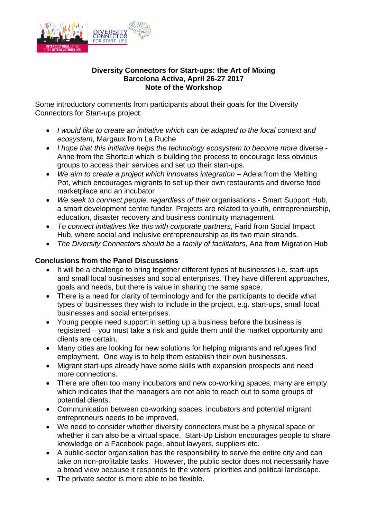

#### **Diversity Connectors for Start-ups: the Art of Mixing Barcelona Activa, April 26-27 2017 Note of the Workshop**

Some introductory comments from participants about their goals for the Diversity Connectors for Start-ups project:

- *I would like to create an initiative which can be adapted to the local context and ecosystem*, Margaux from La Ruche
- *I hope that this initiative helps the technology ecosystem to become more* diverse Anne from the Shortcut which is building the process to encourage less obvious groups to access their services and set up their start-ups.
- *We aim to create a project which innovates integration* Adela from the Melting Pot, which encourages migrants to set up their own restaurants and diverse food marketplace and an incubator
- *We seek to connect people, regardless of their* organisations Smart Support Hub, a smart development centre funder. Projects are related to youth, entrepreneurship, education, disaster recovery and business continuity management
- *To connect initiatives like this with corporate partners*, Farid from Social Impact Hub, where social and inclusive entrepreneurship as its two main strands.
- *The Diversity Connectors should be a family of facilitators*, Ana from Migration Hub

## **Conclusions from the Panel Discussions**

- It will be a challenge to bring together different types of businesses i.e. start-ups and small local businesses and social enterprises. They have different approaches, goals and needs, but there is value in sharing the same space.
- There is a need for clarity of terminology and for the participants to decide what types of businesses they wish to include in the project, e.g. start-ups, small local businesses and social enterprises.
- Young people need support in setting up a business before the business is registered – you must take a risk and guide them until the market opportunity and clients are certain.
- Many cities are looking for new solutions for helping migrants and refugees find employment. One way is to help them establish their own businesses.
- Migrant start-ups already have some skills with expansion prospects and need more connections.
- There are often too many incubators and new co-working spaces; many are empty, which indicates that the managers are not able to reach out to some groups of potential clients.
- Communication between co-working spaces, incubators and potential migrant entrepreneurs needs to be improved.
- We need to consider whether diversity connectors must be a physical space or whether it can also be a virtual space. Start-Up Lisbon encourages people to share knowledge on a Facebook page, about lawyers, suppliers etc.
- A public-sector organisation has the responsibility to serve the entire city and can take on non-profitable tasks. However, the public sector does not necessarily have a broad view because it responds to the voters' priorities and political landscape.
- The private sector is more able to be flexible.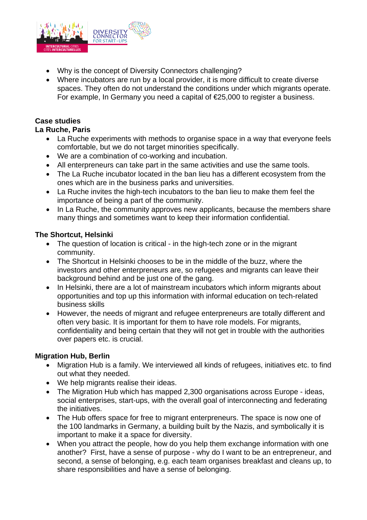

- Why is the concept of Diversity Connectors challenging?
- Where incubators are run by a local provider, it is more difficult to create diverse spaces. They often do not understand the conditions under which migrants operate. For example, In Germany you need a capital of €25,000 to register a business.

## **Case studies**

### **La Ruche, Paris**

- La Ruche experiments with methods to organise space in a way that everyone feels comfortable, but we do not target minorities specifically.
- We are a combination of co-working and incubation.
- All enterpreneurs can take part in the same activities and use the same tools.
- The La Ruche incubator located in the ban lieu has a different ecosystem from the ones which are in the business parks and universities.
- La Ruche invites the high-tech incubators to the ban lieu to make them feel the importance of being a part of the community.
- In La Ruche, the community approves new applicants, because the members share many things and sometimes want to keep their information confidential.

### **The Shortcut, Helsinki**

- The question of location is critical in the high-tech zone or in the migrant community.
- The Shortcut in Helsinki chooses to be in the middle of the buzz, where the investors and other enterpreneurs are, so refugees and migrants can leave their background behind and be just one of the gang.
- In Helsinki, there are a lot of mainstream incubators which inform migrants about opportunities and top up this information with informal education on tech-related business skills
- However, the needs of migrant and refugee enterpreneurs are totally different and often very basic. It is important for them to have role models. For migrants, confidentiality and being certain that they will not get in trouble with the authorities over papers etc. is crucial.

## **Migration Hub, Berlin**

- Migration Hub is a family. We interviewed all kinds of refugees, initiatives etc. to find out what they needed.
- We help migrants realise their ideas.
- The Migration Hub which has mapped 2,300 organisations across Europe ideas, social enterprises, start-ups, with the overall goal of interconnecting and federating the initiatives.
- The Hub offers space for free to migrant enterpreneurs. The space is now one of the 100 landmarks in Germany, a building built by the Nazis, and symbolically it is important to make it a space for diversity.
- When you attract the people, how do you help them exchange information with one another? First, have a sense of purpose - why do I want to be an entrepreneur, and second, a sense of belonging, e.g. each team organises breakfast and cleans up, to share responsibilities and have a sense of belonging.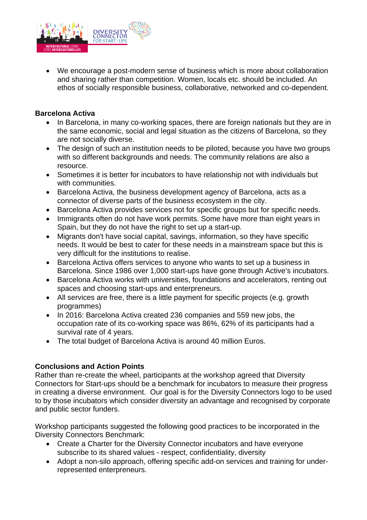

 We encourage a post-modern sense of business which is more about collaboration and sharing rather than competition. Women, locals etc. should be included. An ethos of socially responsible business, collaborative, networked and co-dependent.

## **Barcelona Activa**

- In Barcelona, in many co-working spaces, there are foreign nationals but they are in the same economic, social and legal situation as the citizens of Barcelona, so they are not socially diverse.
- The design of such an institution needs to be piloted, because you have two groups with so different backgrounds and needs. The community relations are also a resource.
- Sometimes it is better for incubators to have relationship not with individuals but with communities.
- Barcelona Activa, the business development agency of Barcelona, acts as a connector of diverse parts of the business ecosystem in the city.
- Barcelona Activa provides services not for specific groups but for specific needs.
- Immigrants often do not have work permits. Some have more than eight years in Spain, but they do not have the right to set up a start-up.
- Migrants don't have social capital, savings, information, so they have specific needs. It would be best to cater for these needs in a mainstream space but this is very difficult for the institutions to realise.
- Barcelona Activa offers services to anyone who wants to set up a business in Barcelona. Since 1986 over 1,000 start-ups have gone through Active's incubators.
- Barcelona Activa works with universities, foundations and accelerators, renting out spaces and choosing start-ups and enterpreneurs.
- All services are free, there is a little payment for specific projects (e.g. growth programmes)
- In 2016: Barcelona Activa created 236 companies and 559 new jobs, the occupation rate of its co-working space was 86%, 62% of its participants had a survival rate of 4 years.
- The total budget of Barcelona Activa is around 40 million Euros.

## **Conclusions and Action Points**

Rather than re-create the wheel, participants at the workshop agreed that Diversity Connectors for Start-ups should be a benchmark for incubators to measure their progress in creating a diverse environment. Our goal is for the Diversity Connectors logo to be used to by those incubators which consider diversity an advantage and recognised by corporate and public sector funders.

Workshop participants suggested the following good practices to be incorporated in the Diversity Connectors Benchmark:

- Create a Charter for the Diversity Connector incubators and have everyone subscribe to its shared values - respect, confidentiality, diversity
- Adopt a non-silo approach, offering specific add-on services and training for underrepresented enterpreneurs.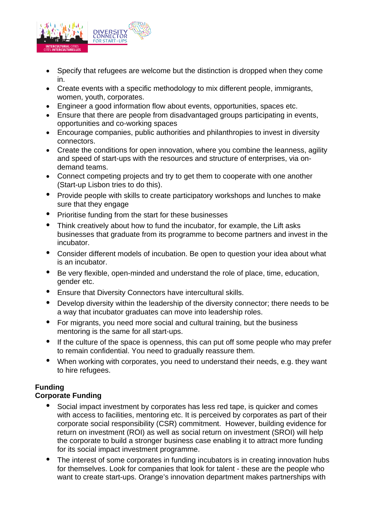

- Specify that refugees are welcome but the distinction is dropped when they come in.
- Create events with a specific methodology to mix different people, immigrants, women, youth, corporates.
- Engineer a good information flow about events, opportunities, spaces etc.
- Ensure that there are people from disadvantaged groups participating in events, opportunities and co-working spaces
- Encourage companies, public authorities and philanthropies to invest in diversity connectors.
- Create the conditions for open innovation, where you combine the leanness, agility and speed of start-ups with the resources and structure of enterprises, via ondemand teams.
- Connect competing projects and try to get them to cooperate with one another (Start-up Lisbon tries to do this).
- Provide people with skills to create participatory workshops and lunches to make sure that they engage
- Prioritise funding from the start for these businesses
- Think creatively about how to fund the incubator, for example, the Lift asks businesses that graduate from its programme to become partners and invest in the incubator.
- Consider different models of incubation. Be open to question your idea about what is an incubator.
- Be very flexible, open-minded and understand the role of place, time, education, gender etc.
- Ensure that Diversity Connectors have intercultural skills.
- Develop diversity within the leadership of the diversity connector; there needs to be a way that incubator graduates can move into leadership roles.
- For migrants, you need more social and cultural training, but the business mentoring is the same for all start-ups.
- If the culture of the space is openness, this can put off some people who may prefer to remain confidential. You need to gradually reassure them.
- When working with corporates, you need to understand their needs, e.g. they want to hire refugees.

# **Funding**

## **Corporate Funding**

- Social impact investment by corporates has less red tape, is quicker and comes with access to facilities, mentoring etc. It is perceived by corporates as part of their corporate social responsibility (CSR) commitment. However, building evidence for return on investment (ROI) as well as social return on investment (SROI) will help the corporate to build a stronger business case enabling it to attract more funding for its social impact investment programme.
- The interest of some corporates in funding incubators is in creating innovation hubs for themselves. Look for companies that look for talent - these are the people who want to create start-ups. Orange's innovation department makes partnerships with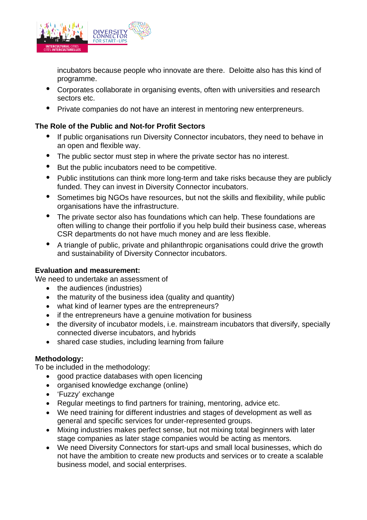

incubators because people who innovate are there. Deloitte also has this kind of programme.

- Corporates collaborate in organising events, often with universities and research sectors etc.
- Private companies do not have an interest in mentoring new enterpreneurs.

## **The Role of the Public and Not-for Profit Sectors**

- If public organisations run Diversity Connector incubators, they need to behave in an open and flexible way.
- The public sector must step in where the private sector has no interest.
- But the public incubators need to be competitive.
- Public institutions can think more long-term and take risks because they are publicly funded. They can invest in Diversity Connector incubators.
- Sometimes big NGOs have resources, but not the skills and flexibility, while public organisations have the infrastructure.
- The private sector also has foundations which can help. These foundations are often willing to change their portfolio if you help build their business case, whereas CSR departments do not have much money and are less flexible.
- A triangle of public, private and philanthropic organisations could drive the growth and sustainability of Diversity Connector incubators.

## **Evaluation and measurement:**

We need to undertake an assessment of

- the audiences (industries)
- the maturity of the business idea (quality and quantity)
- what kind of learner types are the entrepreneurs?
- if the entrepreneurs have a genuine motivation for business
- the diversity of incubator models, i.e. mainstream incubators that diversify, specially connected diverse incubators, and hybrids
- shared case studies, including learning from failure

#### **Methodology:**

To be included in the methodology:

- good practice databases with open licencing
- organised knowledge exchange (online)
- 'Fuzzy' exchange
- Regular meetings to find partners for training, mentoring, advice etc.
- We need training for different industries and stages of development as well as general and specific services for under-represented groups.
- Mixing industries makes perfect sense, but not mixing total beginners with later stage companies as later stage companies would be acting as mentors.
- We need Diversity Connectors for start-ups and small local businesses, which do not have the ambition to create new products and services or to create a scalable business model, and social enterprises.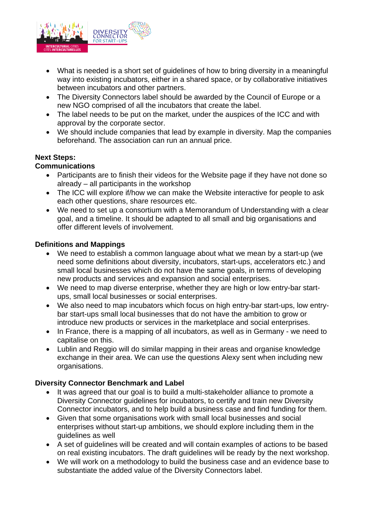

- What is needed is a short set of guidelines of how to bring diversity in a meaningful way into existing incubators, either in a shared space, or by collaborative initiatives between incubators and other partners.
- The Diversity Connectors label should be awarded by the Council of Europe or a new NGO comprised of all the incubators that create the label.
- The label needs to be put on the market, under the auspices of the ICC and with approval by the corporate sector.
- We should include companies that lead by example in diversity. Map the companies beforehand. The association can run an annual price.

### **Next Steps:**

### **Communications**

- Participants are to finish their videos for the Website page if they have not done so already – all participants in the workshop
- The ICC will explore if/how we can make the Website interactive for people to ask each other questions, share resources etc.
- We need to set up a consortium with a Memorandum of Understanding with a clear goal, and a timeline. It should be adapted to all small and big organisations and offer different levels of involvement.

### **Definitions and Mappings**

- We need to establish a common language about what we mean by a start-up (we need some definitions about diversity, incubators, start-ups, accelerators etc.) and small local businesses which do not have the same goals, in terms of developing new products and services and expansion and social enterprises.
- We need to map diverse enterprise, whether they are high or low entry-bar startups, small local businesses or social enterprises.
- We also need to map incubators which focus on high entry-bar start-ups, low entrybar start-ups small local businesses that do not have the ambition to grow or introduce new products or services in the marketplace and social enterprises.
- In France, there is a mapping of all incubators, as well as in Germany we need to capitalise on this.
- Lublin and Reggio will do similar mapping in their areas and organise knowledge exchange in their area. We can use the questions Alexy sent when including new organisations.

## **Diversity Connector Benchmark and Label**

- It was agreed that our goal is to build a multi-stakeholder alliance to promote a Diversity Connector guidelines for incubators, to certify and train new Diversity Connector incubators, and to help build a business case and find funding for them.
- Given that some organisations work with small local businesses and social enterprises without start-up ambitions, we should explore including them in the guidelines as well
- A set of guidelines will be created and will contain examples of actions to be based on real existing incubators. The draft guidelines will be ready by the next workshop.
- We will work on a methodology to build the business case and an evidence base to substantiate the added value of the Diversity Connectors label.